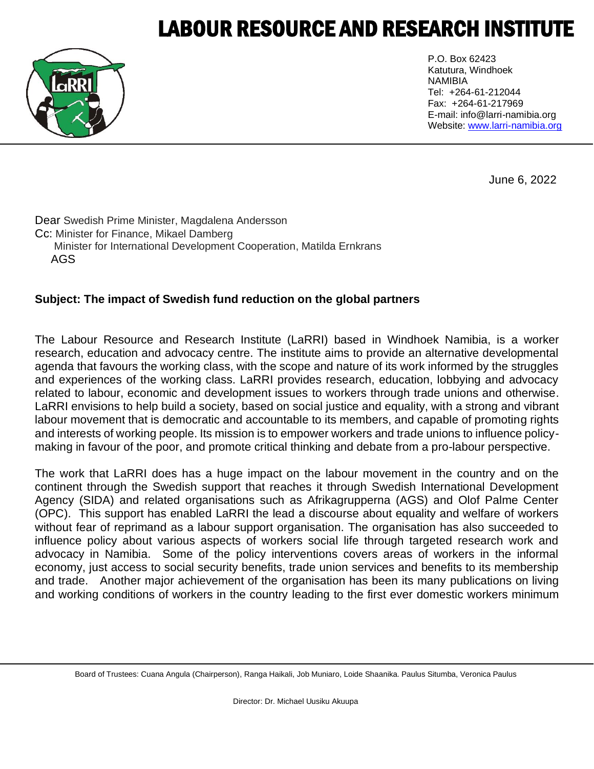## LABOUR RESOURCE AND RESEARCH INSTITU



P.O. Box 62423 Katutura, Windhoek NAMIBIA Tel: +264-61-212044 Fax: +264-61-217969 E-mail: info@larri-namibia.org Website: [www.larri-namibia.org](http://www.larri-namibia.org/)

June 6, 2022

Dear Swedish Prime Minister, Magdalena Andersson Cc: Minister for Finance, Mikael Damberg Minister for International Development Cooperation, Matilda Ernkrans AGS

## **Subject: The impact of Swedish fund reduction on the global partners**

The Labour Resource and Research Institute (LaRRI) based in Windhoek Namibia, is a worker research, education and advocacy centre. The institute aims to provide an alternative developmental agenda that favours the working class, with the scope and nature of its work informed by the struggles and experiences of the working class. LaRRI provides research, education, lobbying and advocacy related to labour, economic and development issues to workers through trade unions and otherwise. LaRRI envisions to help build a society, based on social justice and equality, with a strong and vibrant labour movement that is democratic and accountable to its members, and capable of promoting rights and interests of working people. Its mission is to empower workers and trade unions to influence policymaking in favour of the poor, and promote critical thinking and debate from a pro-labour perspective.

The work that LaRRI does has a huge impact on the labour movement in the country and on the continent through the Swedish support that reaches it through Swedish International Development Agency (SIDA) and related organisations such as Afrikagrupperna (AGS) and Olof Palme Center (OPC). This support has enabled LaRRI the lead a discourse about equality and welfare of workers without fear of reprimand as a labour support organisation. The organisation has also succeeded to influence policy about various aspects of workers social life through targeted research work and advocacy in Namibia. Some of the policy interventions covers areas of workers in the informal economy, just access to social security benefits, trade union services and benefits to its membership and trade. Another major achievement of the organisation has been its many publications on living and working conditions of workers in the country leading to the first ever domestic workers minimum

Board of Trustees: Cuana Angula (Chairperson), Ranga Haikali, Job Muniaro, Loide Shaanika. Paulus Situmba, Veronica Paulus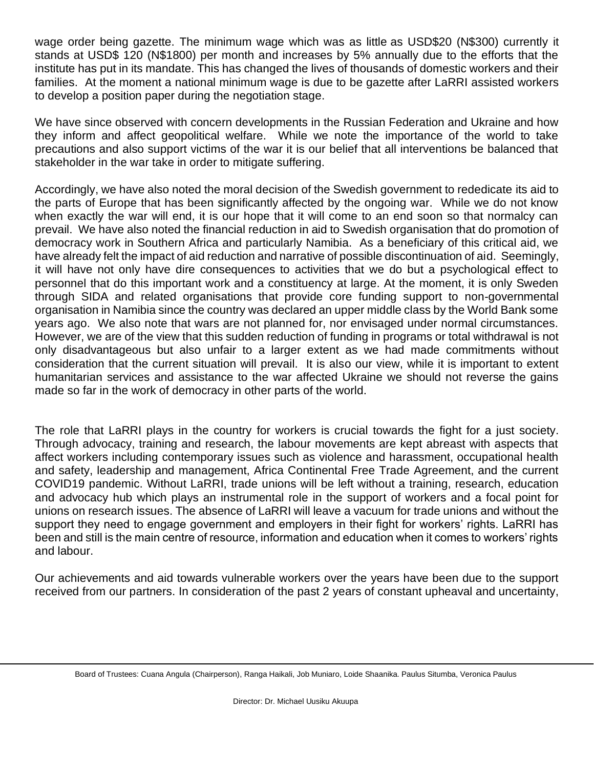wage order being gazette. The minimum wage which was as little as USD\$20 (N\$300) currently it stands at USD\$ 120 (N\$1800) per month and increases by 5% annually due to the efforts that the institute has put in its mandate. This has changed the lives of thousands of domestic workers and their families. At the moment a national minimum wage is due to be gazette after LaRRI assisted workers to develop a position paper during the negotiation stage.

We have since observed with concern developments in the Russian Federation and Ukraine and how they inform and affect geopolitical welfare. While we note the importance of the world to take precautions and also support victims of the war it is our belief that all interventions be balanced that stakeholder in the war take in order to mitigate suffering.

Accordingly, we have also noted the moral decision of the Swedish government to rededicate its aid to the parts of Europe that has been significantly affected by the ongoing war. While we do not know when exactly the war will end, it is our hope that it will come to an end soon so that normalcy can prevail. We have also noted the financial reduction in aid to Swedish organisation that do promotion of democracy work in Southern Africa and particularly Namibia. As a beneficiary of this critical aid, we have already felt the impact of aid reduction and narrative of possible discontinuation of aid. Seemingly, it will have not only have dire consequences to activities that we do but a psychological effect to personnel that do this important work and a constituency at large. At the moment, it is only Sweden through SIDA and related organisations that provide core funding support to non-governmental organisation in Namibia since the country was declared an upper middle class by the World Bank some years ago. We also note that wars are not planned for, nor envisaged under normal circumstances. However, we are of the view that this sudden reduction of funding in programs or total withdrawal is not only disadvantageous but also unfair to a larger extent as we had made commitments without consideration that the current situation will prevail. It is also our view, while it is important to extent humanitarian services and assistance to the war affected Ukraine we should not reverse the gains made so far in the work of democracy in other parts of the world.

The role that LaRRI plays in the country for workers is crucial towards the fight for a just society. Through advocacy, training and research, the labour movements are kept abreast with aspects that affect workers including contemporary issues such as violence and harassment, occupational health and safety, leadership and management, Africa Continental Free Trade Agreement, and the current COVID19 pandemic. Without LaRRI, trade unions will be left without a training, research, education and advocacy hub which plays an instrumental role in the support of workers and a focal point for unions on research issues. The absence of LaRRI will leave a vacuum for trade unions and without the support they need to engage government and employers in their fight for workers' rights. LaRRI has been and still is the main centre of resource, information and education when it comes to workers' rights and labour.

Our achievements and aid towards vulnerable workers over the years have been due to the support received from our partners. In consideration of the past 2 years of constant upheaval and uncertainty,

Board of Trustees: Cuana Angula (Chairperson), Ranga Haikali, Job Muniaro, Loide Shaanika. Paulus Situmba, Veronica Paulus